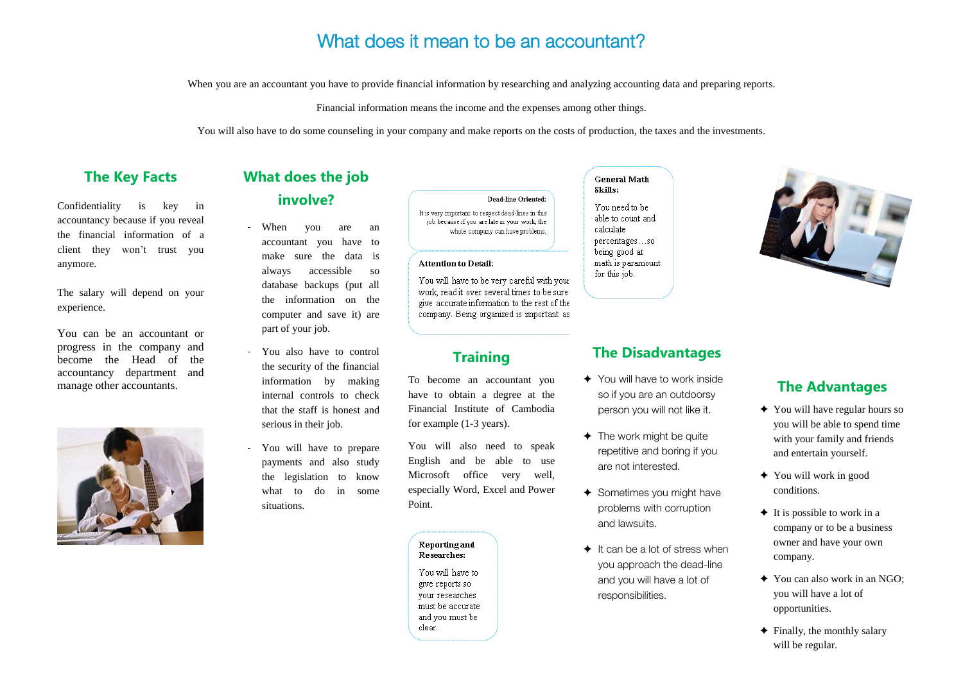# What does it mean to be an accountant?

When you are an accountant you have to provide financial information by researching and analyzing accounting data and preparing reports.

Financial information means the income and the expenses among other things.

You will also have to do some counseling in your company and make reports on the costs of production, the taxes and the investments.

### **The Key Facts**

Confidentiality is key in accountancy because if you reveal the financial information of a client they won't trust you anymore.

The salary will depend on your experience.

- When you are an accountant you have to make sure the data is always accessible so database backups (put all the information on the computer and save it) are part of your job.
- You also have to control the security of the financial information by making internal controls to check that the staff is honest and serious in their job.
- You will have to prepare payments and also study the legislation to know what to do in some situations.

#### **Dead-line Oriented:**

It is very important to respect dead-lines in this job because if you are late in your work, the whole company can have problems.

### **Attention to Detail:**

You will have to be very careful with your work, read it over several times to be sure give accurate information to the rest of the company. Being organized is important as

You can be an accountant or progress in the company and become the Head of the accountancy department and manage other accountants.



# **What does the job involve?**

### **Training**

To become an accountant you have to obtain a degree at the Financial Institute of Cambodia for example (1-3 years).

You will also need to speak English and be able to use Microsoft office very well, especially Word, Excel and Power Point.

#### **Reporting and** Researches:

You will have to give reports so vour researches must be accurate and you must be clear.

#### **General Math** Skills:

You need to be able to count and calculate percentages...so being good at math is paramount for this job.

### **The Disadvantages**

- ✦ You will have to work inside so if you are an outdoorsy person you will not like it.
- $\triangleleft$  The work might be quite repetitive and boring if you are not interested.
- ✦ Sometimes you might have problems with corruption and lawsuits.
- $\triangleq$  It can be a lot of stress when you approach the dead-line and you will have a lot of responsibilities.



# **The Advantages**

- ✦ You will have regular hours so you will be able to spend time with your family and friends and entertain yourself.
- ✦ You will work in good conditions.
- $\triangleleft$  It is possible to work in a company or to be a business owner and have your own company.
- ✦ You can also work in an NGO; you will have a lot of opportunities.
- $\triangleleft$  Finally, the monthly salary will be regular.